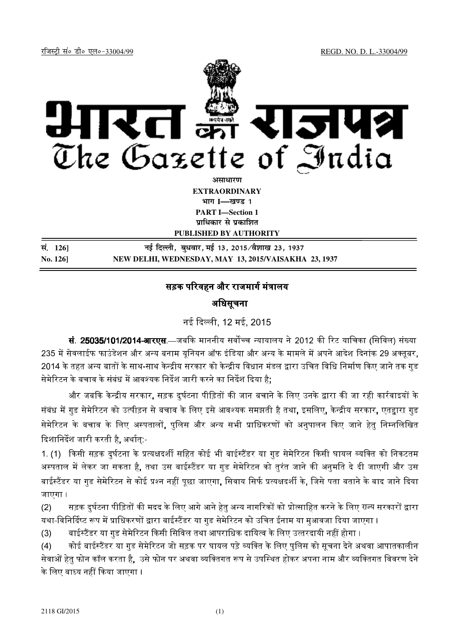

*<u>amai</u>* **EXTRAORDINARY Hkkx I—[k.M 1 PART I—Section 1**

**प्राधिकार से प्रकाशित** 

**PUBLISHED BY AUTHORITY**

**la- 126] ubZ fnYyh] cq/okj] ebZ 13] 2015@oS'kk[k 23] 1937 No. 126] NEW DELHI, WEDNESDAY, MAY 13, 2015/VAISAKHA 23, 1937**

## सड़क परिवहन और राजमार्ग मंत्रालय

अिधसूचना

नई दली, 12 मई, 2015

**सं. 25035/101/2014-आरएस**.—जबकि माननीय सर्वोच्च न्यायालय ने 2012 की रिट याचिका (सिविल) संख्या 235 में सेवलाईफ फाउंडेशन और अन्य बनाम यनियन ऑफ इंडिया और अन्य के मामले में अपने आदेश दिनांक 29 अक्तबर. 2014 के तहत अन्य बातों के साथ-साथ केन्द्रीय सरकार को केन्द्रीय विधान मंडल द्वारा उचित विधि निर्माण किए जाने तक गड सेमेरिटन के बचाव के संबंध में आवश्यक निर्देश जारी करने का निर्देश दिया है:

और जबकि केन्द्रीय सरकार, सड़क दर्घटना पीड़ितों की जान बचाने के लिए उनके द्वारा की जा रही कार्रवाइयों के संबंध में गड सेमेरिटन को उत्पीड़न से बचाव के लिए इसे आवश्यक समझती है तथा. इसलिए. केन्द्रीय सरकार. एतद्दारा गड सेमेरिटन के बचाव के लिए अस्पतालों. पलिस और अन्य सभी प्राधिकरणों को अनपालन किए जाने हेत निम्नलिखित दिशानिर्देश जारी करती है. अर्थात:-

1. (1) किसी सड़क दर्घटना के प्रत्यक्षदर्शी सहित कोई भी बाईस्टैंडर या गड सेमेरिटन किसी घायल व्यक्ति को निकटतम अस्पताल में लेकर जा सकता है. तथा उस बाईस्टैंडर या गड सेमेरिटन को तरंत जाने की अनमति दे दी जाएगी और उस बाईस्टैंडर या गड सेमेरिटन से कोई प्रश्न नहीं पछा जाएगा. सिवाय सिर्फ प्रत्यक्षदर्शी के. जिसे पता बताने के बाद जाने दिया जाएगा ।

(2) सड़क दुर्घटना पीड़ितों की मदद के लिए आगे आने हेतु अन्य नागरिकों को प्रोत्साहित करने के लिए राज्य सरकारों द्वारा यथा-विनिर्दिष्ट रूप में प्राधिकरणों द्वारा बाईस्टैंडर या गड सेमेरिटन को उचित ईनाम या मआवजा दिया जाएगा ।

 $(3)$ ाईस्टैंडर या गड सेमेरिटन किसी सिविल तथा आपराधिक दायित्व के लिए उत्तरदायी नहीं होगा ।

(4) कोई बाईस्टैंडर या गड सेमेरिटन जो सड़क पर घायल पड़े व्यक्ति के लिए पलिस को सचना देने अथवा आपातकालीन । सेवाओं हेत फोन कॉल करता है. उसे फोन पर अथवा व्यक्तिगत रूप से उपस्थित होकर अपना नाम और व्यक्तिगत विवरण देने ' के लिए बाध्य नहीं किया जाएगा ।

 $\overline{a}$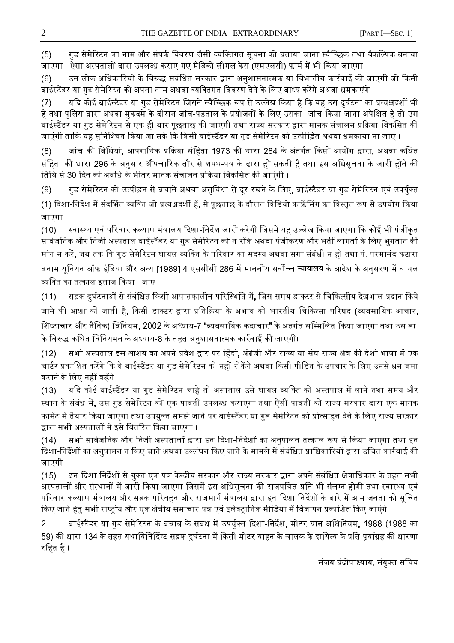गुड सेमेरिटन का नाम और संपर्क विवरण जैसी व्यक्तिगत सुचना को बताया जाना स्वैच्छिक तथा वैकल्पिक बनाया  $(5)$ जाएगा । ऐसा अस्पतालों द्वारा उपलब्ध कराए गए मैडिको लीगल केस (एमएलसी) फार्म में भी किया जाएगा

उन लोक अधिकारियों के विरूद्ध संबंधित सरकार द्वारा अनुशासनात्मक या विभागीय कार्रवाई की जाएगी जो किसी  $(6)$ बाईस्टैंडर या गड सेमेरिटन को अपना नाम अथवा व्यक्तिगत विवरण देने के लिए बाध्य करेंगे अथवा धमकाएंगे ।

यदि कोई बाईस्टैंडर या गड सेमेरिटन जिसने स्वैच्छिक रूप से उल्लेख किया है कि वह उस दर्घटना का प्रत्यक्षदर्शी भी  $(7)$ है तथा पलिस द्वारा अथवा मकदमे के दौरान जांच-पड़ताल के प्रयोजनों के लिए उसका जांच किया जाना अपेक्षित है तो उस बाईस्टैंडर या गुड सेमेरिटन से एक ही बार पूछताछ की जाएगी तथा राज्य सरकार द्वारा मानक संचालन प्रक्रिया विकसित की जाएंगी ताकि यह सुनिश्चित किया जा सके कि किसी बाईस्टैंडर या गुड सेमेरिटन को उत्पीड़ित अथवा धमकाया ना जाए ।

जांच की विधियां, आपराधिक प्रक्रिया संहिता 1973 की धारा 284 के अंतर्गत किसी आयोग द्वारा, अथवा कथित  $(8)$ संहिता की धारा 296 के अनुसार औपचारिक तौर से शपथ-पत्र के द्वारा हो सकती है तथा इस अधिसूचना के जारी होने की तिथि से 30 दिन की अवधि के भीतर मानक संचालन प्रक्रिया विकसित की जाएंगी ।

गुड सेमेरिटन को उत्पीड़न से बचाने अथवा असुविधा से दूर रखने के लिए, बाईस्टैंडर या गुड सेमेरिटन एवं उपर्युक्त  $(9)$ (1) दिशा-निर्देश में संदर्भित व्यक्ति जो प्रत्यक्षदर्शी हैं, से पूछताछ के दौरान विडियो कांफ्रेंसिंग का विस्तृत रूप से उपयोग किया जाएगा ।

 $(10)$ स्वास्थ्य एवं परिवार कल्याण मंत्रालय दिशा-निर्देश जारी करेगी जिसमें यह उल्लेख किया जाएगा कि कोई भी पंजीकृत सार्वजनिक और निजी अस्पताल बाईस्टैंडर या गुड सेमेरिटन को न रोंके अथवा पंजीकरण और भर्ती लागतों के लिए भुगतान की मांग न करें, जब तक कि गुड सेमेरिटन घायल व्यक्ति के परिवार का सदस्य अथवा सगा-संबंधी न हो तथा पं. परमानंद कटारा बनाम यूनियन ऑफ इंडिया और अन्य [1989] 4 एससीसी 286 में माननीय सर्वोच्च न्यायालय के आदेश के अनुसरण में घायल व्यक्ति का तत्काल इलाज किया जाए ।

सड़क दुर्घटनाओं से संबंधित किसी आपातकालीन परिस्थिति में, जिस समय डाक्टर से चिकित्सीय देखभाल प्रदान किये  $(11)$ जाने की आशा की जाती है, किसी डाक्टर द्वारा प्रतिक्रिया के अभाव को भारतीय चिकित्सा परिषद (व्यवसायिक आचार, शिष्टाचार और नैतिक) विनियम, 2002 के अध्याय-7 **"**व्यवसायिक कदाचार" के अंतर्गत सम्मिलित किया जाएगा तथा उस डा. के विरूद्ध कथित विनियमन के अध्याय-8 के तहत अनशासनात्मक कार्रवाई की जाएगी।

सभी अस्पताल इस आशय का अपने प्रवेश द्वार पर हिंदी, अंग्रेजी और राज्य या संघ राज्य क्षेत्र की देशी भाषा में एक  $(12)$ चार्टर प्रकाशित करेंगे कि वे बाईस्टैंडर या गड सेमेरिटन को नहीं रोकेंगे अथवा किसी पीड़ित के उपचार के लिए उनसे धन जमा कराने के लिए नहीं कहेंगे ।

यदि कोई बाईस्टैंडर या गुड सेमेरिटन चाहे तो अस्पताल उसे घायल व्यक्ति को अस्तपाल में लाने तथा समय और  $(13)$ स्थान के संबंध में, उस गुड सेमेरिटन को एक पावती उपलब्ध कराएगा तथा ऐसी पावती को राज्य सरकार द्वारा एक मानक फार्मेट में तैयार किया जाएगा तथा उपयुक्त समझे जाने पर बाईस्टैंडर या गुड सेमेरिटन को प्रोत्साहन देने के लिए राज्य सरकार द्वारा सभी अस्पतालों में इसे वितरित किया जाएगा ।

सभी सार्वजनिक और निजी अस्पतालों द्वारा इन दिशा-निर्देशों का अनुपालन तत्काल रूप से किया जाएगा तथा इन  $(14)$ दिशा-निर्देशों का अनुपालन न किए जाने अथवा उल्लंघन किए जाने के मामले में संबंधित प्राधिकारियों द्वारा उचित कार्रवाई की जाएगी ।

इन दिशा-निर्देशों से यक्त एक पत्र केन्द्रीय सरकार और राज्य सरकार द्वारा अपने संबंधित क्षेत्राधिकार के तहत सभी  $(15)$ अस्पतालों और संस्थानों में जारी किया जाएगा जिसमें इस अधिसूचना की राजपत्रित प्रति भी संलग्न होगी तथा स्वास्थ्य एवं परिवार कल्याण मंत्रालय और सड़क परिवहन और राजमार्ग मंत्रालय द्वारा इन दिशा निर्देशों के बारे में आम जनता को सचित किए जाने हेतु सभी राष्ट्रीय और एक क्षेत्रीय समाचार पत्र एवं इलेक्ट्रानिक मीडिया में विज्ञापन प्रकाशित किए जाएंगे ।

बाईस्टैंडर या गुड सेमेरिटन के बचाव के संबंध में उपर्युक्त दिशा-निर्देश, मोटर यान अधिनियम, 1988 (1988 का  $2<sup>1</sup>$ 59) की धारा 134 के तहत यथाविनिर्दिष्ट सड़क दुर्घटना में किसी मोटर वाहन के चालक के दायित्व के प्रति पूर्वाग्रह की धारणा रहित हैं ।

संजय बंदोपाध्याय, संयुक्त सचिव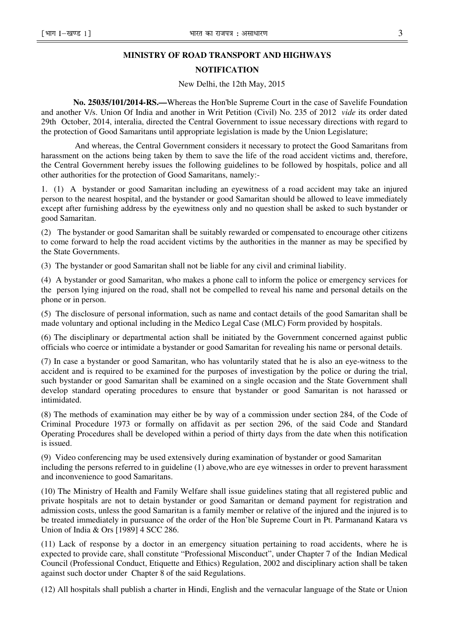## **MINISTRY OF ROAD TRANSPORT AND HIGHWAYS**

## **NOTIFICATION**

New Delhi, the 12th May, 2015

**No. 25035/101/2014-RS.—**Whereas the Hon'ble Supreme Court in the case of Savelife Foundation and another V/s. Union Of India and another in Writ Petition (Civil) No. 235 of 2012 *vide* its order dated 29th October, 2014, interalia, directed the Central Government to issue necessary directions with regard to the protection of Good Samaritans until appropriate legislation is made by the Union Legislature;

 And whereas, the Central Government considers it necessary to protect the Good Samaritans from harassment on the actions being taken by them to save the life of the road accident victims and, therefore, the Central Government hereby issues the following guidelines to be followed by hospitals, police and all other authorities for the protection of Good Samaritans, namely:-

1. (1) A bystander or good Samaritan including an eyewitness of a road accident may take an injured person to the nearest hospital, and the bystander or good Samaritan should be allowed to leave immediately except after furnishing address by the eyewitness only and no question shall be asked to such bystander or good Samaritan.

(2) The bystander or good Samaritan shall be suitably rewarded or compensated to encourage other citizens to come forward to help the road accident victims by the authorities in the manner as may be specified by the State Governments.

(3) The bystander or good Samaritan shall not be liable for any civil and criminal liability.

(4) A bystander or good Samaritan, who makes a phone call to inform the police or emergency services for the person lying injured on the road, shall not be compelled to reveal his name and personal details on the phone or in person.

(5) The disclosure of personal information, such as name and contact details of the good Samaritan shall be made voluntary and optional including in the Medico Legal Case (MLC) Form provided by hospitals.

(6) The disciplinary or departmental action shall be initiated by the Government concerned against public officials who coerce or intimidate a bystander or good Samaritan for revealing his name or personal details.

(7) In case a bystander or good Samaritan, who has voluntarily stated that he is also an eye-witness to the accident and is required to be examined for the purposes of investigation by the police or during the trial, such bystander or good Samaritan shall be examined on a single occasion and the State Government shall develop standard operating procedures to ensure that bystander or good Samaritan is not harassed or intimidated.

(8) The methods of examination may either be by way of a commission under section 284, of the Code of Criminal Procedure 1973 or formally on affidavit as per section 296, of the said Code and Standard Operating Procedures shall be developed within a period of thirty days from the date when this notification is issued.

(9) Video conferencing may be used extensively during examination of bystander or good Samaritan including the persons referred to in guideline (1) above,who are eye witnesses in order to prevent harassment and inconvenience to good Samaritans.

(10) The Ministry of Health and Family Welfare shall issue guidelines stating that all registered public and private hospitals are not to detain bystander or good Samaritan or demand payment for registration and admission costs, unless the good Samaritan is a family member or relative of the injured and the injured is to be treated immediately in pursuance of the order of the Hon'ble Supreme Court in Pt. Parmanand Katara vs Union of India & Ors [1989] 4 SCC 286.

(11) Lack of response by a doctor in an emergency situation pertaining to road accidents, where he is expected to provide care, shall constitute "Professional Misconduct", under Chapter 7 of the Indian Medical Council (Professional Conduct, Etiquette and Ethics) Regulation, 2002 and disciplinary action shall be taken against such doctor under Chapter 8 of the said Regulations.

(12) All hospitals shall publish a charter in Hindi, English and the vernacular language of the State or Union